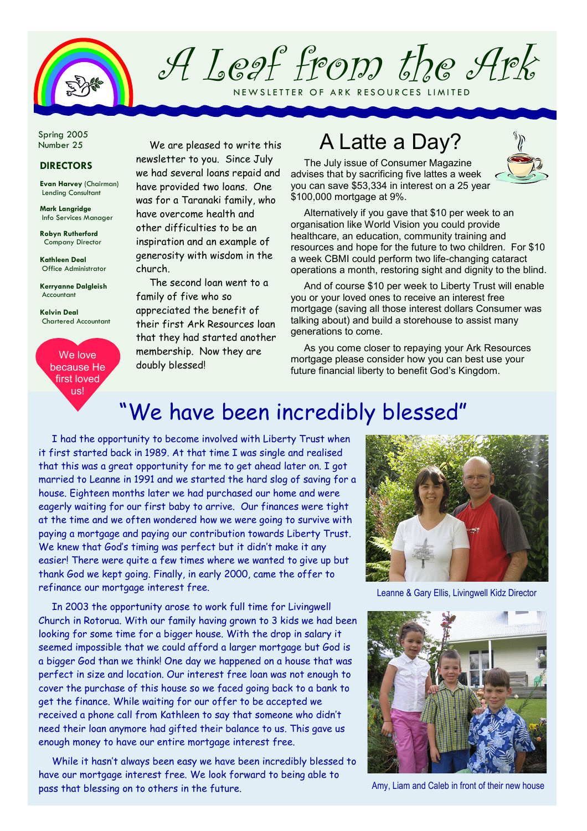

A Leaf from the Ark NEW SLETTER OF ARK RESOURCES LIMITED

Spring 2005 Number 25

#### DIRECTORS

Evan Harvey (Chairman) Lending Consultant

Mark Langridge Info Services Manager

Robyn Rutherford Company Director

Kathleen Deal Office Administrator

Kerryanne Dalgleish Accountant

Kelvin Deal Chartered Accountant

We love because He first loved us!

We are pleased to write this newsletter to you. Since July we had several loans repaid and have provided two loans. One was for a Taranaki family, who have overcome health and other difficulties to be an inspiration and an example of generosity with wisdom in the church.

The second loan went to a family of five who so appreciated the benefit of their first Ark Resources loan that they had started another membership. Now they are doubly blessed!

## A Latte a Day?

The July issue of Consumer Magazine advises that by sacrificing five lattes a week you can save \$53,334 in interest on a 25 year \$100,000 mortgage at 9%.

Alternatively if you gave that \$10 per week to an organisation like World Vision you could provide healthcare, an education, community training and resources and hope for the future to two children. For \$10 a week CBMI could perform two life-changing cataract operations a month, restoring sight and dignity to the blind.

And of course \$10 per week to Liberty Trust will enable you or your loved ones to receive an interest free mortgage (saving all those interest dollars Consumer was talking about) and build a storehouse to assist many generations to come.

As you come closer to repaying your Ark Resources mortgage please consider how you can best use your future financial liberty to benefit God's Kingdom.

### "We have been incredibly blessed"

I had the opportunity to become involved with Liberty Trust when it first started back in 1989. At that time I was single and realised that this was a great opportunity for me to get ahead later on. I got married to Leanne in 1991 and we started the hard slog of saving for a house. Eighteen months later we had purchased our home and were eagerly waiting for our first baby to arrive. Our finances were tight at the time and we often wondered how we were going to survive with paying a mortgage and paying our contribution towards Liberty Trust. We knew that God's timing was perfect but it didn't make it any easier! There were quite a few times where we wanted to give up but thank God we kept going. Finally, in early 2000, came the offer to refinance our mortgage interest free.

In 2003 the opportunity arose to work full time for Livingwell Church in Rotorua. With our family having grown to 3 kids we had been looking for some time for a bigger house. With the drop in salary it seemed impossible that we could afford a larger mortgage but God is a bigger God than we think! One day we happened on a house that was perfect in size and location. Our interest free loan was not enough to cover the purchase of this house so we faced going back to a bank to get the finance. While waiting for our offer to be accepted we received a phone call from Kathleen to say that someone who didn't need their loan anymore had gifted their balance to us. This gave us enough money to have our entire mortgage interest free.

While it hasn't always been easy we have been incredibly blessed to have our mortgage interest free. We look forward to being able to pass that blessing on to others in the future. Amy, Liam and Caleb in front of their new house



Leanne & Gary Ellis, Livingwell Kidz Director